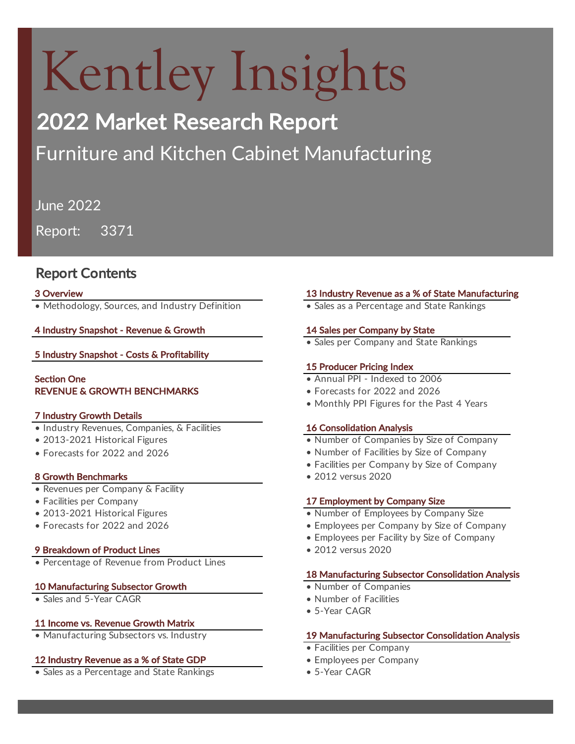# Kentley Insights

# 2022 Market Research Report

# Furniture and Kitchen Cabinet Manufacturing

June 2022

Report: 3371

# Report Contents

• Methodology, Sources, and Industry Definition • Sales as a Percentage and State Rankings

# 4 Industry Snapshot - Revenue & Growth 14 Sales per Company by State

5 Industry Snapshot - Costs & Profitability

# Section One **• Annual PPI** - Indexed to 2006 REVENUE & GROWTH BENCHMARKS

### 7 Industry Growth Details

- Industry Revenues, Companies, & Facilities 16 Consolidation Analysis
- 
- Forecasts for 2022 and 2026

### 8 Growth Benchmarks **• 2012** versus 2020

- Revenues per Company & Facility
- 
- 
- Forecasts for 2022 and 2026

### 9 Breakdown of Product Lines • 2012 versus 2020

• Percentage of Revenue from Product Lines

# 10 Manufacturing Subsector Growth • Number of Companies

• Sales and 5-Year CAGR • Number of Facilities

### 11 Income vs. Revenue Growth Matrix

### **12 Industry Revenue as a % of State GDP • Employees per Company**

• Sales as a Percentage and State Rankings • 5-Year CAGR

# 3 Overview 13 Industry Revenue as a % of State Manufacturing

• Sales per Company and State Rankings

# 15 Producer Pricing Index

- 
- Forecasts for 2022 and 2026
- Monthly PPI Figures for the Past 4 Years

- 2013-2021 Historical Figures  **12013-2021** Historical Figures **• •** Number of Companies by Size of Company
	- Number of Facilities by Size of Company
	- Facilities per Company by Size of Company

- 2013-2021 Historical Figures Number of Employees by Company Size
	- Employees per Company by Size of Company
	- Employees per Facility by Size of Company
	-

### 18 Manufacturing Subsector Consolidation Analysis

- 
- 
- 5-Year CAGR

### • Manufacturing Subsectors vs. Industry **19 Manufacturing Subsector Consolidation Analysis**

- Facilities per Company
- 
- 

# • Facilities per Company **17 Employment by Company Size**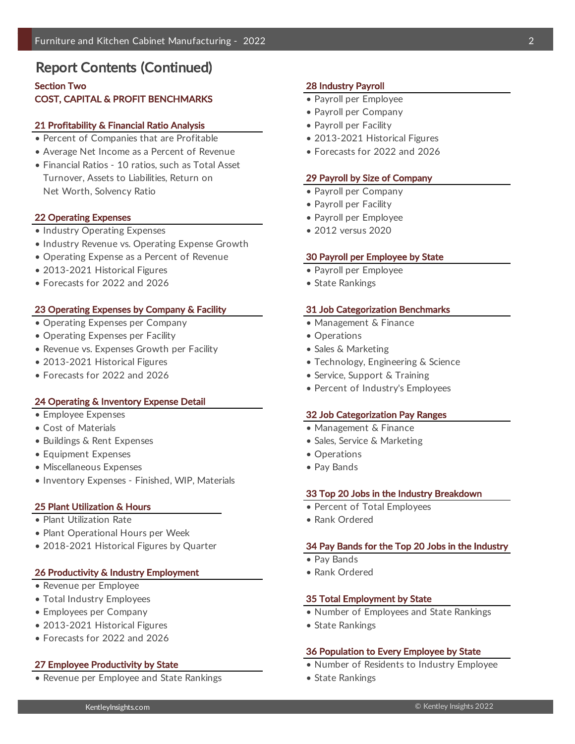# Report Contents (Continued)

# Section Two 28 Industry Payroll **COST, CAPITAL & PROFIT BENCHMARKS • Payroll per Employee**

#### 21 Profitability & Financial Ratio Analysis **• Payroll per Facility** • Payroll per Facility

- Percent of Companies that are Profitable 2013-2021 Historical Figures
- Average Net Income as a Percent of Revenue
- Financial Ratios 10 ratios, such as Total Asset Turnover, Assets to Liabilities, Return on 29 Payroll by Size of Company Net Worth, Solvency Ratio **•** *Net Worth, Solvency Ratio* • Payroll per Company

#### 22 Operating Expenses **• Payroll per Employee • Payroll per Employee**

- Industry Operating Expenses 2012 versus 2020
- Industry Revenue vs. Operating Expense Growth
- Operating Expense as a Percent of Revenue 30 Payroll per Employee by State
- 2013-2021 Historical Figures Payroll per Employee
- Forecasts for 2022 and 2026

#### 23 Operating Expenses by Company & Facility 31 Job Categorization Benchmarks

- Operating Expenses per Company  **Management & Finance**
- Operating Expenses per Facility  **Constanting Expenses per Facility Operations**
- Revenue vs. Expenses Growth per Facility The Sales & Marketing
- 
- Forecasts for 2022 and 2026

#### 24 Operating & Inventory Expense Detail

- 
- 
- Buildings & Rent Expenses
- Equipment Expenses Operations
- Miscellaneous Expenses Pay Bands
- Inventory Expenses Finished, WIP, Materials

#### 25 Plant Utilization & Hours **• Percent of Total Employees** • Percent of Total Employees

- Plant Utilization Rate Rank Ordered Rank Ordered
- Plant Operational Hours per Week
- 

#### 26 Productivity & Industry Employment • Rank Ordered

- Revenue per Employee
- 
- 
- 2013-2021 Historical Figures State Rankings
- Forecasts for 2022 and 2026

• Revenue per Employee and State Rankings • State Rankings

- 
- Payroll per Company
- 
- 
- Forecasts for 2022 and 2026

- 
- Payroll per Facility
- 
- 

- 
- State Rankings

- 
- 
- 
- 2013-2021 Historical Figures Technology, Engineering & Science
	- Service, Support & Training
	- Percent of Industry's Employees

#### • Employee Expenses 32 Job Categorization Pay Ranges

- Cost of Materials Management & Finance
	- Sales, Service & Marketing
	-
	-

#### 33 Top 20 Jobs in the Industry Breakdown

- 
- 

#### • 2018-2021 Historical Figures by Quarter 34 Pay Bands for the Top 20 Jobs in the Industry

- Pay Bands
- 

#### • Total Industry Employees **35 Total Employment by State**

- Employees per Company  **Number of Employees and State Rankings** 
	-

#### 36 Population to Every Employee by State

- 27 Employee Productivity by State  **Number of Residents to Industry Employee** 
	-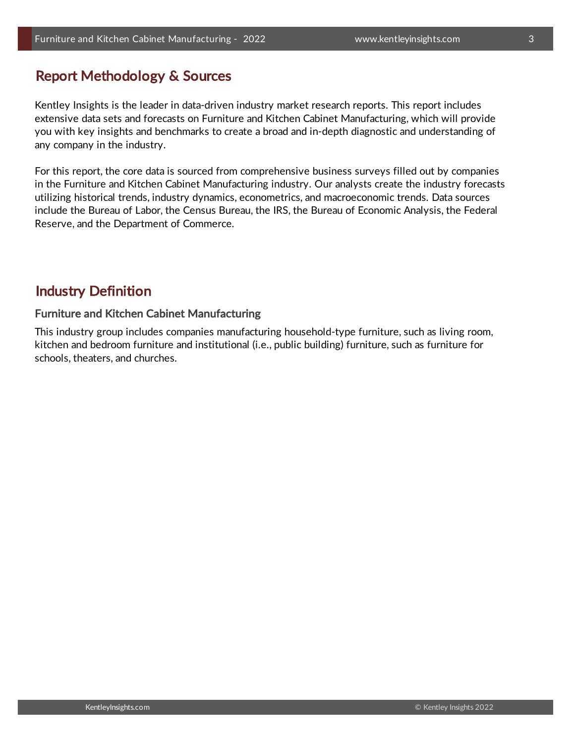# Report Methodology & Sources

Kentley Insights is the leader in data-driven industry market research reports. This report includes extensive data sets and forecasts on Furniture and Kitchen Cabinet Manufacturing, which will provide you with key insights and benchmarks to create a broad and in-depth diagnostic and understanding of any company in the industry.

For this report, the core data is sourced from comprehensive business surveys filled out by companies in the Furniture and Kitchen Cabinet Manufacturing industry. Our analysts create the industry forecasts utilizing historical trends, industry dynamics, econometrics, and macroeconomic trends. Data sources include the Bureau of Labor, the Census Bureau, the IRS, the Bureau of Economic Analysis, the Federal Reserve, and the Department of Commerce.

# Industry Definition

# Furniture and Kitchen Cabinet Manufacturing

This industry group includes companies manufacturing household-type furniture, such as living room, kitchen and bedroom furniture and institutional (i.e., public building) furniture, such as furniture for schools, theaters, and churches.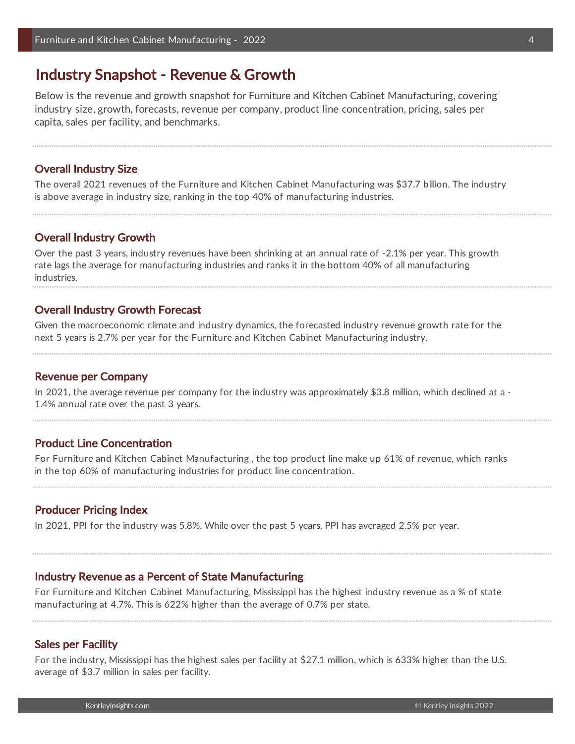# Industry Snapshot - Revenue & Growth

Below is the revenue and growth snapshot for Furniture and Kitchen Cabinet Manufacturing, covering industry size, growth, forecasts, revenue per company, product line concentration, pricing, sales per capita, sales per facility, and benchmarks.

### Overall Industry Size

The overall 2021 revenues of the Furniture and Kitchen Cabinet Manufacturing was \$37.7 billion. The industry is above average in industry size, ranking in the top 40% of manufacturing industries.

#### Overall Industry Growth

Over the past 3 years, industry revenues have been shrinking at an annual rate of -2.1% per year. This growth rate lags the average for manufacturing industries and ranks it in the bottom 40% of all manufacturing industries.

### Overall Industry Growth Forecast

Given the macroeconomic climate and industry dynamics, the forecasted industry revenue growth rate for the next 5 years is 2.7% per year for the Furniture and Kitchen Cabinet Manufacturing industry.

#### Revenue per Company

In 2021, the average revenue per company for the industry was approximately \$3.8 million, which declined at a -1.4% annual rate over the past 3 years.

#### Product Line Concentration

For Furniture and Kitchen Cabinet Manufacturing , the top product line make up 61% of revenue, which ranks in the top 60% of manufacturing industries for product line concentration.

#### Producer Pricing Index

In 2021, PPI for the industry was 5.8%. While over the past 5 years, PPI has averaged 2.5% per year.

#### Industry Revenue as a Percent of State Manufacturing

For Furniture and Kitchen Cabinet Manufacturing, Mississippi has the highest industry revenue as a % of state manufacturing at 4.7%. This is 622% higher than the average of 0.7% per state.

#### Sales per Facility

For the industry, Mississippi has the highest sales per facility at \$27.1 million, which is 633% higher than the U.S. average of \$3.7 million in sales per facility.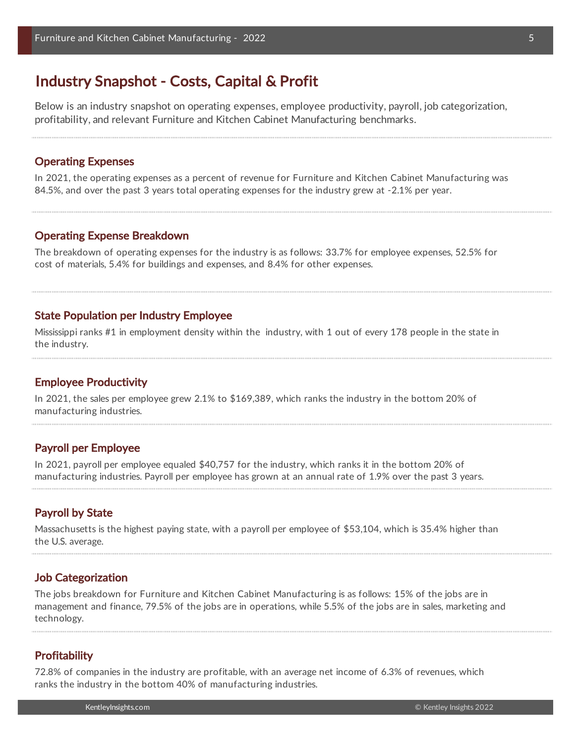# Industry Snapshot - Costs, Capital & Profit

Below is an industry snapshot on operating expenses, employee productivity, payroll, job categorization, profitability, and relevant Furniture and Kitchen Cabinet Manufacturing benchmarks.

#### Operating Expenses

In 2021, the operating expenses as a percent of revenue for Furniture and Kitchen Cabinet Manufacturing was 84.5%, and over the past 3 years total operating expenses for the industry grew at -2.1% per year.

#### Operating Expense Breakdown

The breakdown of operating expenses for the industry is as follows: 33.7% for employee expenses, 52.5% for cost of materials, 5.4% for buildings and expenses, and 8.4% for other expenses.

### State Population per Industry Employee

Mississippi ranks #1 in employment density within the industry, with 1 out of every 178 people in the state in the industry.

#### Employee Productivity

In 2021, the sales per employee grew 2.1% to \$169,389, which ranks the industry in the bottom 20% of manufacturing industries.

### Payroll per Employee

In 2021, payroll per employee equaled \$40,757 for the industry, which ranks it in the bottom 20% of manufacturing industries. Payroll per employee has grown at an annual rate of 1.9% over the past 3 years.

#### Payroll by State

Massachusetts is the highest paying state, with a payroll per employee of \$53,104, which is 35.4% higher than the U.S. average.

#### Job Categorization

The jobs breakdown for Furniture and Kitchen Cabinet Manufacturing is as follows: 15% of the jobs are in management and finance, 79.5% of the jobs are in operations, while 5.5% of the jobs are in sales, marketing and technology.

#### **Profitability**

72.8% of companies in the industry are profitable, with an average net income of 6.3% of revenues, which ranks the industry in the bottom 40% of manufacturing industries.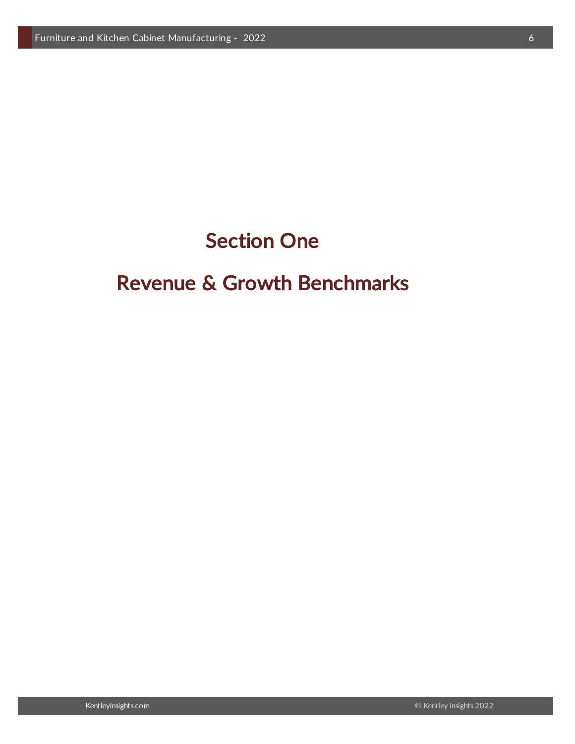# Section One

# Revenue & Growth Benchmarks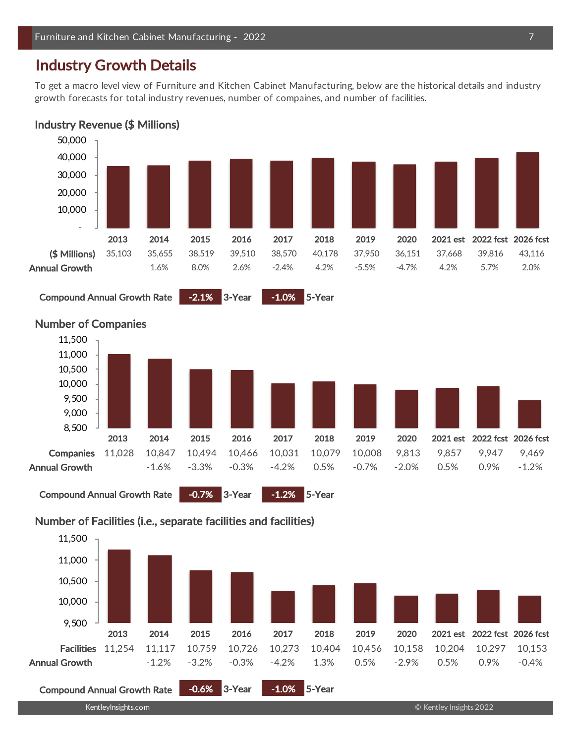# Industry Growth Details

To get a macro level view of Furniture and Kitchen Cabinet Manufacturing, below are the historical details and industry growth forecasts for total industry revenues, number of compaines, and number of facilities.





Compound Annual Growth Rate -2.1% 3-Year -1.0% 5-Year



# Number of Companies

# Number of Facilities (i.e., separate facilities and facilities)

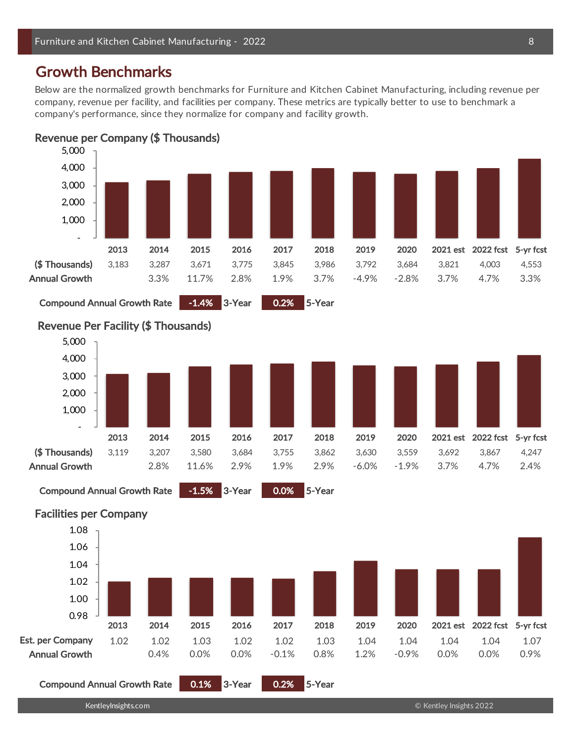# Growth Benchmarks

Below are the normalized growth benchmarks for Furniture and Kitchen Cabinet Manufacturing, including revenue per company, revenue per facility, and facilities per company. These metrics are typically better to use to benchmark a company's performance, since they normalize for company and facility growth.





Compound Annual Growth Rate -1.4% 3-Year 0.2% 5-Year



Compound Annual Growth Rate -1.5% 3-Year 0.0% 5-Year

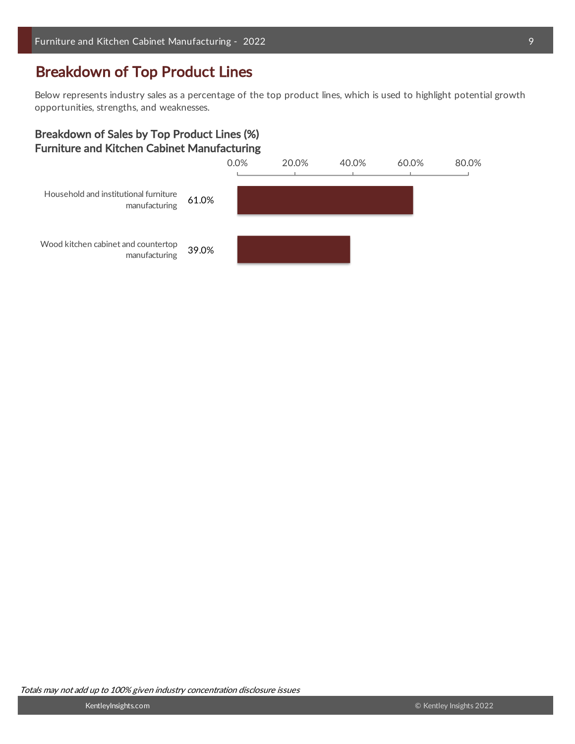# Breakdown of Top Product Lines

Below represents industry sales as a percentage of the top product lines, which is used to highlight potential growth opportunities, strengths, and weaknesses.

# Breakdown of Sales by Top Product Lines (%) Furniture and Kitchen Cabinet Manufacturing

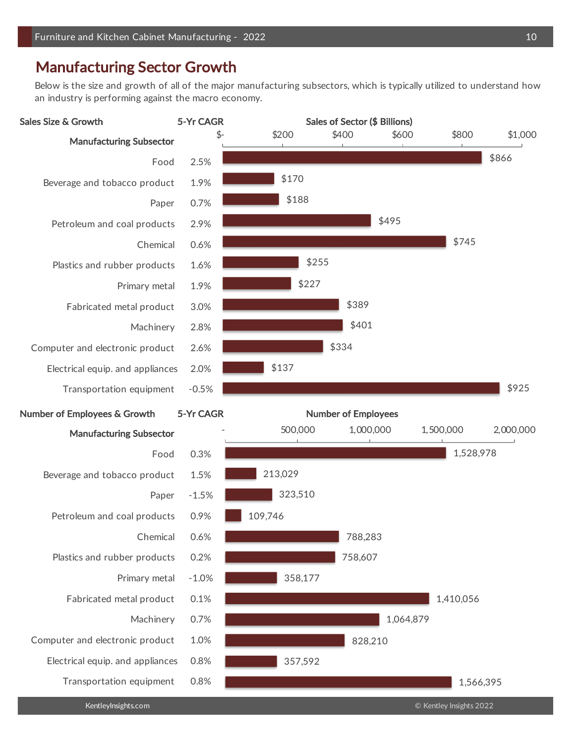# Manufacturing Sector Growth

Below is the size and growth of all of the major manufacturing subsectors, which is typically utilized to understand how an industry is performing against the macro economy.

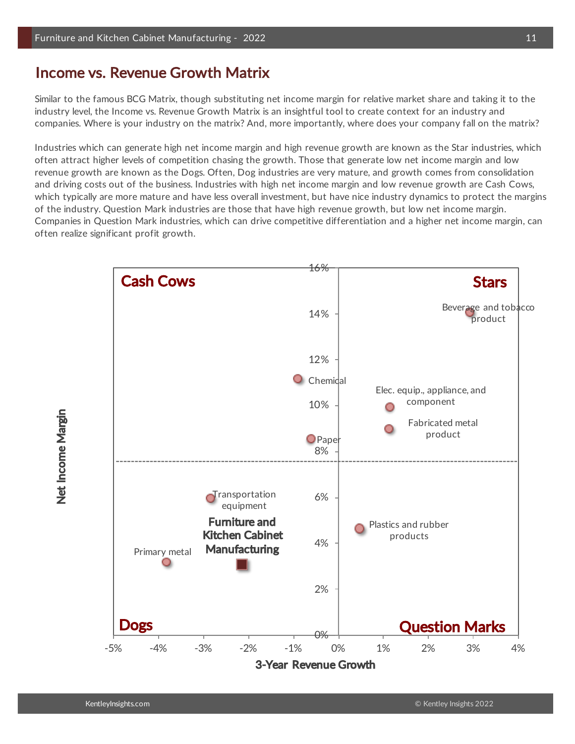# Income vs. Revenue Growth Matrix

Similar to the famous BCG Matrix, though substituting net income margin for relative market share and taking it to the industry level, the Income vs. Revenue Growth Matrix is an insightful tool to create context for an industry and companies. Where is your industry on the matrix? And, more importantly, where does your company fall on the matrix?

Industries which can generate high net income margin and high revenue growth are known as the Star industries, which often attract higher levels of competition chasing the growth. Those that generate low net income margin and low revenue growth are known as the Dogs. Often, Dog industries are very mature, and growth comes from consolidation and driving costs out of the business. Industries with high net income margin and low revenue growth are Cash Cows, which typically are more mature and have less overall investment, but have nice industry dynamics to protect the margins of the industry. Question Mark industries are those that have high revenue growth, but low net income margin. Companies in Question Mark industries, which can drive competitive differentiation and a higher net income margin, can often realize significant profit growth.



Net Income Margin Net Income Margin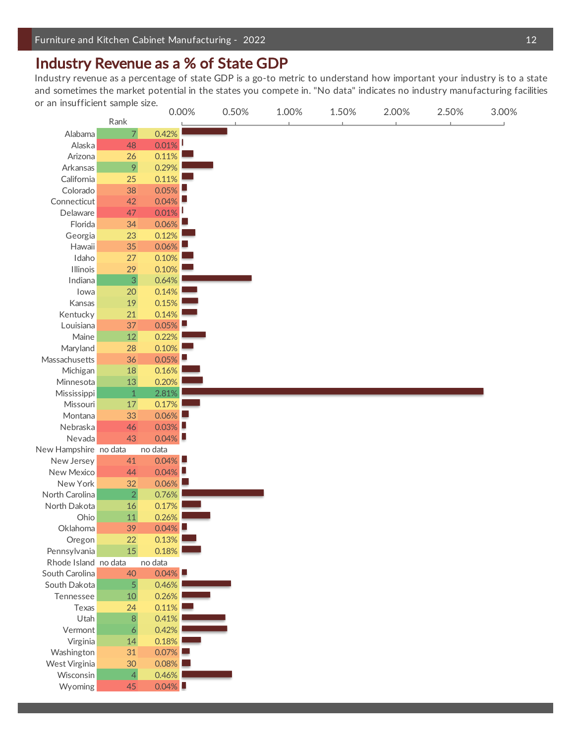# Industry Revenue as a % of State GDP

Industry revenue as a percentage of state GDP is a go-to metric to understand how important your industry is to a state and sometimes the market potential in the states you compete in. "No data" indicates no industry manufacturing facilities or an insufficient sample size.

| Or all illsufficient sample size. |                  |          | 0.00% | 0.50% | 1.00% | 1.50% | 2.00% | 2.50% | 3.00% |
|-----------------------------------|------------------|----------|-------|-------|-------|-------|-------|-------|-------|
|                                   | Rank             |          |       |       |       |       |       |       |       |
| Alabama                           | $\overline{7}$   | 0.42%    |       |       |       |       |       |       |       |
| Alaska                            | 48               | $0.01\%$ |       |       |       |       |       |       |       |
| Arizona                           | 26               | 0.11%    |       |       |       |       |       |       |       |
| Arkansas                          | 9                | 0.29%    |       |       |       |       |       |       |       |
| California                        | 25               | 0.11%    |       |       |       |       |       |       |       |
| Colorado                          | 38               | $0.05\%$ |       |       |       |       |       |       |       |
| Connecticut                       | 42               | $0.04\%$ |       |       |       |       |       |       |       |
| Delaware                          | 47               | $0.01\%$ |       |       |       |       |       |       |       |
| Florida                           | 34               | $0.06\%$ |       |       |       |       |       |       |       |
| Georgia                           | 23               | 0.12%    |       |       |       |       |       |       |       |
| Hawaii                            | 35               | $0.06\%$ |       |       |       |       |       |       |       |
| Idaho                             | 27               | 0.10%    |       |       |       |       |       |       |       |
| Illinois                          | 29               | 0.10%    |       |       |       |       |       |       |       |
| Indiana                           | $\overline{3}$   | 0.64%    |       |       |       |       |       |       |       |
| lowa                              | 20               | 0.14%    |       |       |       |       |       |       |       |
| Kansas                            | 19               | 0.15%    |       |       |       |       |       |       |       |
| Kentucky                          | 21               | 0.14%    |       |       |       |       |       |       |       |
| Louisiana                         | 37               | $0.05\%$ |       |       |       |       |       |       |       |
| Maine                             | 12               | 0.22%    |       |       |       |       |       |       |       |
| Maryland                          | 28               | 0.10%    |       |       |       |       |       |       |       |
| Massachusetts                     | 36               | $0.05\%$ |       |       |       |       |       |       |       |
| Michigan                          | $18\,$           | 0.16%    |       |       |       |       |       |       |       |
| Minnesota                         | $13\,$           | 0.20%    |       |       |       |       |       |       |       |
| Mississippi                       | $\mathbf{1}$     | 2.81%    |       |       |       |       |       |       |       |
| Missouri                          | $17\,$           | 0.17%    |       |       |       |       |       |       |       |
| Montana                           | 33               | $0.06\%$ |       |       |       |       |       |       |       |
| Nebraska                          | 46               | $0.03\%$ |       |       |       |       |       |       |       |
| Nevada                            | 43               | $0.04\%$ |       |       |       |       |       |       |       |
| New Hampshire no data             |                  | no data  |       |       |       |       |       |       |       |
| New Jersey                        | 41               | $0.04\%$ |       |       |       |       |       |       |       |
| New Mexico                        | 44               | $0.04\%$ |       |       |       |       |       |       |       |
| New York                          | 32               | $0.06\%$ |       |       |       |       |       |       |       |
| North Carolina                    | $\overline{2}$   | 0.76%    |       |       |       |       |       |       |       |
| North Dakota                      | 16               | 0.17%    |       |       |       |       |       |       |       |
| Ohio                              | 11               | 0.26%    |       |       |       |       |       |       |       |
| Oklahoma                          | 39               | $0.04\%$ |       |       |       |       |       |       |       |
| Oregon                            | 22               | 0.13%    |       |       |       |       |       |       |       |
| Pennsylvania                      | 15               | 0.18%    |       |       |       |       |       |       |       |
| Rhode Island no data              |                  | no data  |       |       |       |       |       |       |       |
| South Carolina                    | 40               | $0.04\%$ |       |       |       |       |       |       |       |
| South Dakota                      | $\overline{5}$   | 0.46%    |       |       |       |       |       |       |       |
| Tennessee                         | 10 <sup>°</sup>  | 0.26%    |       |       |       |       |       |       |       |
| Texas                             | 24               | 0.11%    |       |       |       |       |       |       |       |
| Utah                              | $\, 8$           | 0.41%    |       |       |       |       |       |       |       |
| Vermont                           | $\boldsymbol{6}$ | 0.42%    |       |       |       |       |       |       |       |
| Virginia                          |                  | 0.18%    |       |       |       |       |       |       |       |
| Washington                        | 14<br>31         | $0.07\%$ |       |       |       |       |       |       |       |
|                                   |                  | $0.08\%$ |       |       |       |       |       |       |       |
| West Virginia                     | 30               |          |       |       |       |       |       |       |       |
| Wisconsin                         | $\overline{4}$   | 0.46%    |       |       |       |       |       |       |       |
| Wyoming                           | 45               | $0.04\%$ |       |       |       |       |       |       |       |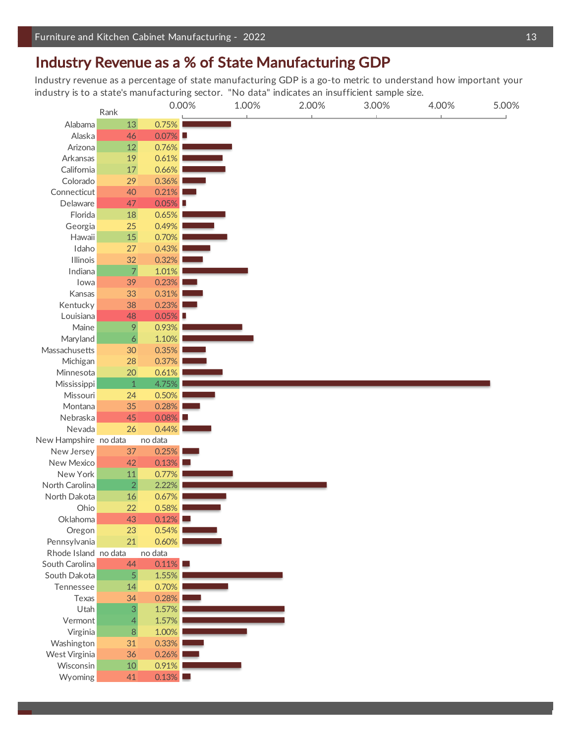# Industry Revenue as a % of State Manufacturing GDP

Industry revenue as a percentage of state manufacturing GDP is a go-to metric to understand how important your industry is to a state's manufacturing sector. "No data" indicates an insufficient sample size.

|                       | Rank                     |          | 0.00% | 1.00% | 2.00% | 3.00% | 4.00% | 5.00% |
|-----------------------|--------------------------|----------|-------|-------|-------|-------|-------|-------|
| Alabama               | 13                       | 0.75%    |       |       |       |       |       |       |
| Alaska                | 46                       | $0.07\%$ |       |       |       |       |       |       |
| Arizona               | $12\,$                   | 0.76%    |       |       |       |       |       |       |
| Arkansas              | 19                       | 0.61%    |       |       |       |       |       |       |
| California            | $17\,$                   | 0.66%    |       |       |       |       |       |       |
| Colorado              | 29                       | 0.36%    |       |       |       |       |       |       |
| Connecticut           | 40                       | 0.21%    |       |       |       |       |       |       |
| Delaware              | 47                       | $0.05\%$ |       |       |       |       |       |       |
| Florida               | 18                       | 0.65%    |       |       |       |       |       |       |
| Georgia               | 25                       | 0.49%    |       |       |       |       |       |       |
| Hawaii                | $15\,$                   | 0.70%    |       |       |       |       |       |       |
| Idaho                 | 27                       | 0.43%    |       |       |       |       |       |       |
| <b>Illinois</b>       | 32                       | 0.32%    |       |       |       |       |       |       |
| Indiana               | $\overline{\mathcal{L}}$ | 1.01%    |       |       |       |       |       |       |
| lowa                  | 39                       | 0.23%    |       |       |       |       |       |       |
| Kansas                | 33                       | 0.31%    |       |       |       |       |       |       |
| Kentucky              | 38                       | 0.23%    |       |       |       |       |       |       |
| Louisiana             | 48                       | $0.05\%$ |       |       |       |       |       |       |
| Maine                 | $\mathcal{P}$            | 0.93%    |       |       |       |       |       |       |
| Maryland              | $\boldsymbol{6}$         | 1.10%    |       |       |       |       |       |       |
| Massachusetts         | 30                       | 0.35%    |       |       |       |       |       |       |
| Michigan              | 28                       | 0.37%    |       |       |       |       |       |       |
| Minnesota             | <b>20</b>                | 0.61%    |       |       |       |       |       |       |
| Mississippi           | 1                        | 4.75%    |       |       |       |       |       |       |
| Missouri              | 24                       | 0.50%    |       |       |       |       |       |       |
| Montana               | 35                       | 0.28%    |       |       |       |       |       |       |
| Nebraska              | 45                       | $0.08\%$ |       |       |       |       |       |       |
| Nevada                | 26                       | 0.44%    |       |       |       |       |       |       |
| New Hampshire no data |                          | no data  |       |       |       |       |       |       |
| New Jersey            | 37                       | 0.25%    |       |       |       |       |       |       |
| New Mexico            | 42                       | 0.13%    |       |       |       |       |       |       |
| New York              | 11                       | 0.77%    |       |       |       |       |       |       |
| North Carolina        | $\sqrt{2}$               | 2.22%    |       |       |       |       |       |       |
| North Dakota          | $16\,$                   | 0.67%    |       |       |       |       |       |       |
| Ohio                  | 22                       | 0.58%    |       |       |       |       |       |       |
| Oklahoma              | 43                       | $0.12\%$ |       |       |       |       |       |       |
| Oregon                | 23                       | 0.54%    |       |       |       |       |       |       |
| Pennsylvania          | 21                       | 0.60%    |       |       |       |       |       |       |
| Rhode Island no data  |                          | no data  |       |       |       |       |       |       |
| South Carolina        | 44                       | $0.11\%$ |       |       |       |       |       |       |
| South Dakota          | $\sqrt{5}$               | 1.55%    |       |       |       |       |       |       |
| Tennessee             | 14                       | 0.70%    |       |       |       |       |       |       |
| Texas                 | 34                       | 0.28%    |       |       |       |       |       |       |
| Utah                  | $\sqrt{3}$               | 1.57%    |       |       |       |       |       |       |
| Vermont               | 4                        | 1.57%    |       |       |       |       |       |       |
| Virginia              | $\, 8$                   | 1.00%    |       |       |       |       |       |       |
| Washington            | 31                       | 0.33%    |       |       |       |       |       |       |
| West Virginia         | 36                       | 0.26%    |       |       |       |       |       |       |
| Wisconsin             | $10\,$                   | 0.91%    |       |       |       |       |       |       |
| Wyoming               | 41                       | 0.13%    |       |       |       |       |       |       |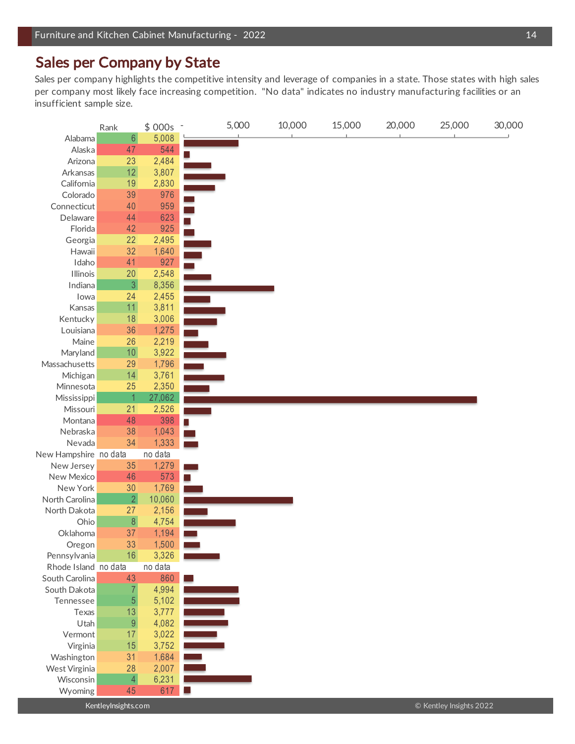# Sales per Company by State

Sales per company highlights the competitive intensity and leverage of companies in a state. Those states with high sales per company most likely face increasing competition. "No data" indicates no industry manufacturing facilities or an insufficient sample size.

|                             | Rank             | \$000s         | 5,000 | 10,000 | 15,000 | 20,000 | 25,000 | 30,000 |
|-----------------------------|------------------|----------------|-------|--------|--------|--------|--------|--------|
| Alabama                     | $6\phantom{a}$   | 5,008          |       |        |        |        |        |        |
| Alaska                      | 47               | 544            |       |        |        |        |        |        |
| Arizona                     | 23               | 2,484          |       |        |        |        |        |        |
| Arkansas                    | 12               | 3,807          |       |        |        |        |        |        |
| California                  | 19               | 2,830          |       |        |        |        |        |        |
| Colorado                    | 39               | 976            |       |        |        |        |        |        |
| Connecticut                 | 40               | 959            |       |        |        |        |        |        |
| Delaware                    | 44               | 623            |       |        |        |        |        |        |
| Florida                     | 42               | 925            |       |        |        |        |        |        |
| Georgia                     | 22               | 2,495          |       |        |        |        |        |        |
| Hawaii                      | 32               | 1,640          |       |        |        |        |        |        |
| Idaho                       | 41               | 927            |       |        |        |        |        |        |
| Illinois                    | 20               | 2,548          |       |        |        |        |        |        |
| Indiana                     | $\mathfrak{Z}$   | 8,356          |       |        |        |        |        |        |
| lowa                        | 24               | 2,455          |       |        |        |        |        |        |
| Kansas                      | 11               | 3,811          |       |        |        |        |        |        |
| Kentucky                    | 18               | 3,006          |       |        |        |        |        |        |
| Louisiana                   | 36               | 1,275          |       |        |        |        |        |        |
| Maine                       | 26               | 2,219          |       |        |        |        |        |        |
| Maryland                    | $101$            | 3,922          |       |        |        |        |        |        |
| Massachusetts               | 29               | 1,796          |       |        |        |        |        |        |
| Michigan                    | 14               | 3,761          |       |        |        |        |        |        |
| Minnesota                   | 25               | 2,350          |       |        |        |        |        |        |
| Mississippi                 |                  | 27,062         |       |        |        |        |        |        |
| Missouri                    | 21               | 2,526          |       |        |        |        |        |        |
| Montana                     | 48               | 398            |       |        |        |        |        |        |
| Nebraska                    | 38               | 1,043          |       |        |        |        |        |        |
| Nevada                      | 34               | 1,333          |       |        |        |        |        |        |
| New Hampshire no data       |                  | no data        |       |        |        |        |        |        |
| New Jersey                  | 35               | 1,279          |       |        |        |        |        |        |
| New Mexico                  | 46               | 573            |       |        |        |        |        |        |
| New York                    | 30               | 1,769          |       |        |        |        |        |        |
| North Carolina              | $\overline{2}$   | 10,060         |       |        |        |        |        |        |
| North Dakota                | 27               | 2,156          |       |        |        |        |        |        |
| Ohio                        | $\,8\,$          | 4,754          |       |        |        |        |        |        |
| Oklahoma                    | 37               | 1,194          |       |        |        |        |        |        |
| Oregon                      | 33               | 1,500          |       |        |        |        |        |        |
| Pennsylvania                | 16               | 3,326          |       |        |        |        |        |        |
| Rhode Island no data        |                  | no data        |       |        |        |        |        |        |
| South Carolina              | 43               | 860            |       |        |        |        |        |        |
| South Dakota                |                  | 4,994          |       |        |        |        |        |        |
| Tennessee                   | $\overline{5}$   | 5,102          |       |        |        |        |        |        |
| Texas                       | 13               | 3,777          |       |        |        |        |        |        |
| Utah                        | $\boldsymbol{9}$ | 4,082          |       |        |        |        |        |        |
| Vermont                     | 17               | 3,022          |       |        |        |        |        |        |
|                             |                  |                |       |        |        |        |        |        |
| Virginia                    | 15<br>31         | 3,752<br>1,684 |       |        |        |        |        |        |
| Washington<br>West Virginia | 28               | 2,007          |       |        |        |        |        |        |
| Wisconsin                   | $\overline{4}$   | 6,231          |       |        |        |        |        |        |
| Wyoming                     | 45               | 617            |       |        |        |        |        |        |
|                             |                  |                |       |        |        |        |        |        |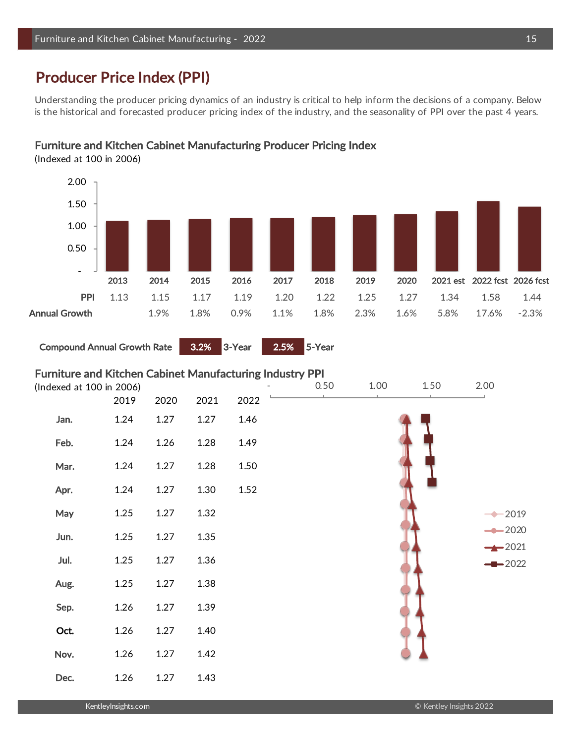# Producer Price Index (PPI)

Understanding the producer pricing dynamics of an industry is critical to help inform the decisions of a company. Below is the historical and forecasted producer pricing index of the industry, and the seasonality of PPI over the past 4 years.

# Furniture and Kitchen Cabinet Manufacturing Producer Pricing Index

(Indexed at 100 in 2006)



Compound Annual Growth Rate 3.2% 3-Year 2.5% 5-Year

# Furniture and Kitchen Cabinet Manufacturing Industry PPI

|      | (Indexed at 100 in 2006) |      |      |      | 0.50 | 1.00 | 1.50 | 2.00               |
|------|--------------------------|------|------|------|------|------|------|--------------------|
|      | 2019                     | 2020 | 2021 | 2022 |      |      |      |                    |
| Jan. | 1.24                     | 1.27 | 1.27 | 1.46 |      |      |      |                    |
| Feb. | 1.24                     | 1.26 | 1.28 | 1.49 |      |      |      |                    |
| Mar. | 1.24                     | 1.27 | 1.28 | 1.50 |      |      |      |                    |
| Apr. | 1.24                     | 1.27 | 1.30 | 1.52 |      |      |      |                    |
| May  | 1.25                     | 1.27 | 1.32 |      |      |      |      | 2019               |
| Jun. | 1.25                     | 1.27 | 1.35 |      |      |      |      | $-2020$<br>$-2021$ |
| Jul. | 1.25                     | 1.27 | 1.36 |      |      |      |      | $-2022$            |
| Aug. | 1.25                     | 1.27 | 1.38 |      |      |      |      |                    |
| Sep. | 1.26                     | 1.27 | 1.39 |      |      |      |      |                    |
| Oct. | 1.26                     | 1.27 | 1.40 |      |      |      |      |                    |
| Nov. | 1.26                     | 1.27 | 1.42 |      |      |      |      |                    |
| Dec. | 1.26                     | 1.27 | 1.43 |      |      |      |      |                    |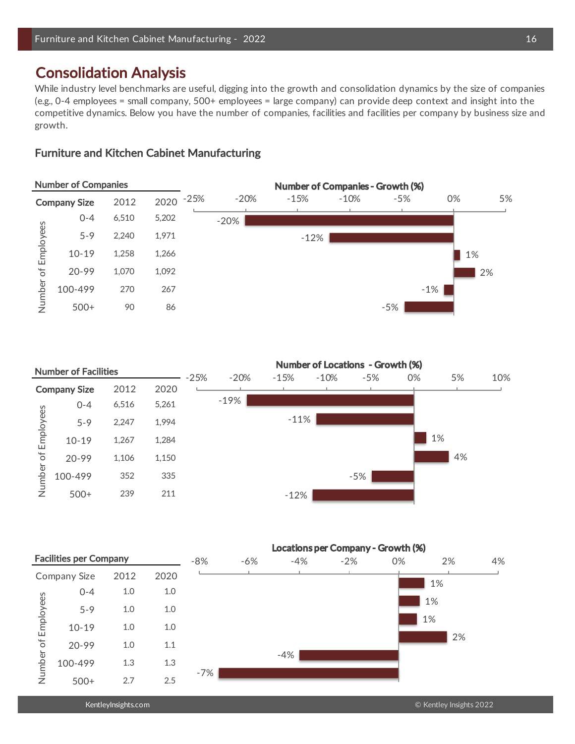# Consolidation Analysis

While industry level benchmarks are useful, digging into the growth and consolidation dynamics by the size of companies (e.g., 0-4 employees = small company, 500+ employees = large company) can provide deep context and insight into the competitive dynamics. Below you have the number of companies, facilities and facilities per company by business size and growth.

# Furniture and Kitchen Cabinet Manufacturing



|           | <b>Number of Facilities</b> |       |       |        |        |        |        | Number of Locations - Growth (%) |    |    |     |
|-----------|-----------------------------|-------|-------|--------|--------|--------|--------|----------------------------------|----|----|-----|
|           |                             |       |       | $-25%$ | $-20%$ | $-15%$ | $-10%$ | $-5%$                            | 0% | 5% | 10% |
|           | <b>Company Size</b>         | 2012  | 2020  |        |        |        |        |                                  |    |    |     |
|           | $0 - 4$                     | 6,516 | 5,261 |        | $-19%$ |        |        |                                  |    |    |     |
|           | $5 - 9$                     | 2,247 | 1.994 |        |        | $-11%$ |        |                                  |    |    |     |
| Employees | $10 - 19$                   | 1,267 | 1,284 |        |        |        |        |                                  |    | 1% |     |
| $\sigma$  | $20 - 99$                   | 1,106 | 1,150 |        |        |        |        |                                  |    | 4% |     |
| Number    | 100-499                     | 352   | 335   |        |        |        |        | $-5%$                            |    |    |     |
|           | $500+$                      | 239   | 211   |        |        | $-12%$ |        |                                  |    |    |     |

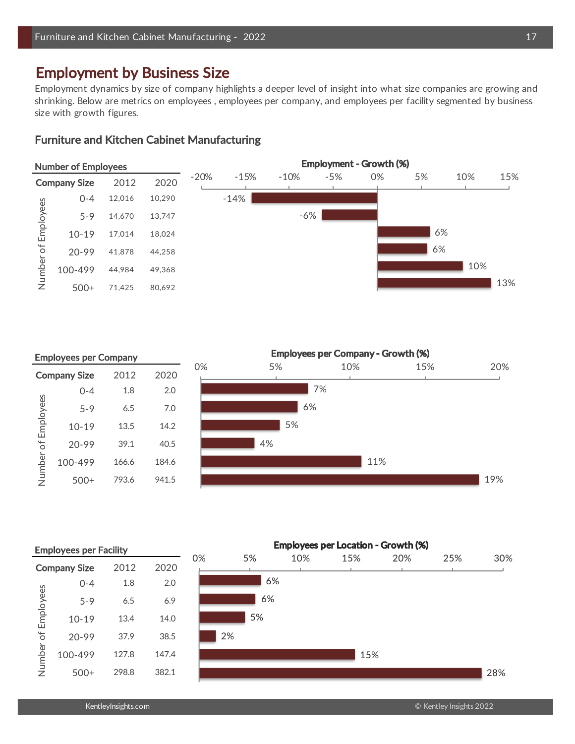# Employment by Business Size

Employment dynamics by size of company highlights a deeper level of insight into what size companies are growing and shrinking. Below are metrics on employees , employees per company, and employees per facility segmented by business size with growth figures.

# Furniture and Kitchen Cabinet Manufacturing



|           | <b>Employees per Company</b> |       |       |    |    | <b>Employees per Company - Growth (%)</b> |     |     |
|-----------|------------------------------|-------|-------|----|----|-------------------------------------------|-----|-----|
|           | <b>Company Size</b>          | 2012  | 2020  | 0% | 5% | 10%                                       | 15% | 20% |
|           | $0 - 4$                      | 1.8   | 2.0   |    |    | 7%                                        |     |     |
| Employees | $5 - 9$                      | 6.5   | 7.0   |    | 6% |                                           |     |     |
|           | $10 - 19$                    | 13.5  | 14.2  |    | 5% |                                           |     |     |
| $\sigma$  | 20-99                        | 39.1  | 40.5  |    | 4% |                                           |     |     |
| Number    | 100-499                      | 166.6 | 184.6 |    |    | 11%                                       |     |     |
|           | $500+$                       | 793.6 | 941.5 |    |    |                                           |     | 19% |
|           |                              |       |       |    |    |                                           |     |     |

Employees per Location - Growth (%) Employees per Facility 0% 5% 10% 15% 20% 25% 30% **Company Size** 2012 2020 6% 0-4 1.8 2.0 6% 230 204 0.4% Number of Employees Number of Employees6% 5-9 6.5 6.9 6% 231 205 1.3% 5% 10-19 13.4 14.0 5% 232 206 2.8% 2% 20-99 37.9 38.5 2% 233 208 7.8% 100-499 127.8 147.4 15% 234 209 26.3% 15% 28% 500+ 298.8 382.1 28% 236.31 382.1 386.31 386.31 386.31 386.31 386.31 386.31 386.31 386.31 386.31 386.31 387.31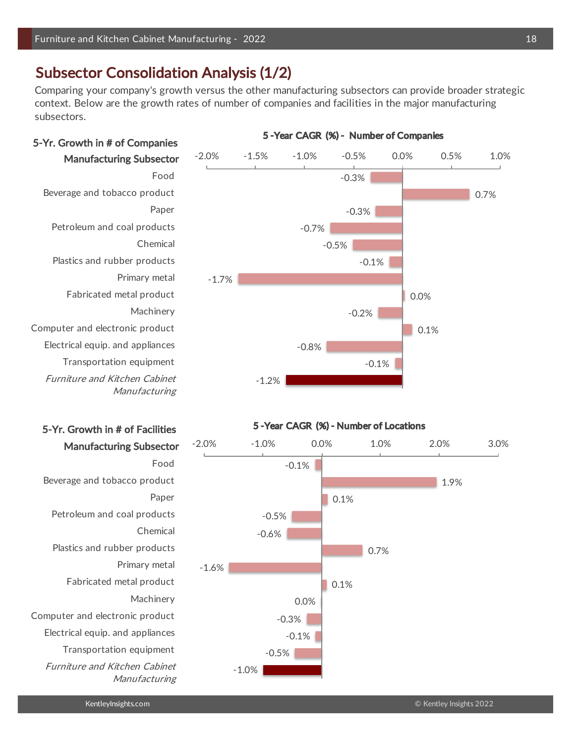# Subsector Consolidation Analysis (1/2)

Comparing your company's growth versus the other manufacturing subsectors can provide broader strategic context. Below are the growth rates of number of companies and facilities in the major manufacturing subsectors.



5 -Year CAGR (%) - Number of Companies



# 5-Yr. Growth in # of Facilities

Beverage and tobacco product Petroleum and coal products Chemical Plastics and rubber products Primary metal Fabricated metal product Machinery Computer and electronic product Electrical equip. and appliances Transportation equipment Furniture and Kitchen Cabinet Manufacturing 0.7%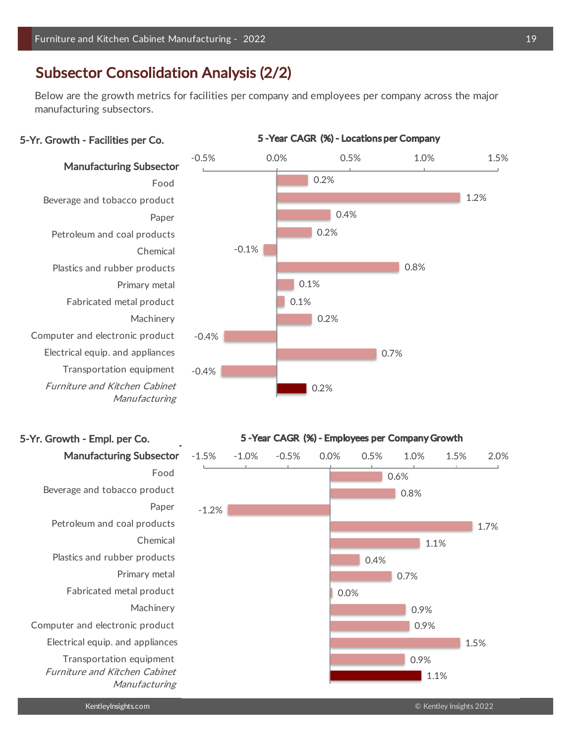# Subsector Consolidation Analysis (2/2)

Below are the growth metrics for facilities per company and employees per company across the major manufacturing subsectors.

### 5-Yr. Growth - Facilities per Co.

Manufacturing Subsector Beverage and tobacco product Petroleum and coal products  $Chemical$ Plastics and rubber products Primary metal Fabricated metal product Machinery Computer and electronic product Electrical equip. and appliances Transportation equipment Furniture and Kitchen Cabinet Manufacturing

# 5-Yr. Growth - Empl. per Co.





#### 5 -Year CAGR (%) - Employees per Company Growth

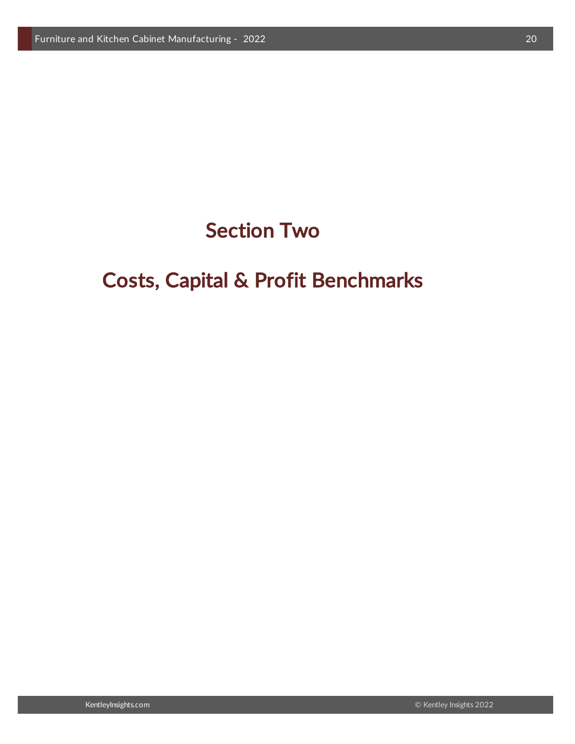# Section Two

# Costs, Capital & Profit Benchmarks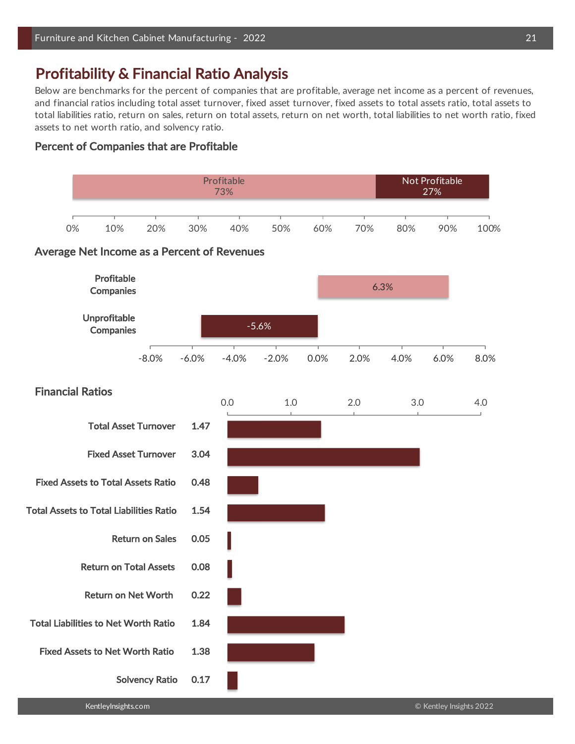# Profitability & Financial Ratio Analysis

Below are benchmarks for the percent of companies that are profitable, average net income as a percent of revenues, and financial ratios including total asset turnover, fixed asset turnover, fixed assets to total assets ratio, total assets to total liabilities ratio, return on sales, return on total assets, return on net worth, total liabilities to net worth ratio, fixed assets to net worth ratio, and solvency ratio.

### Percent of Companies that are Profitable

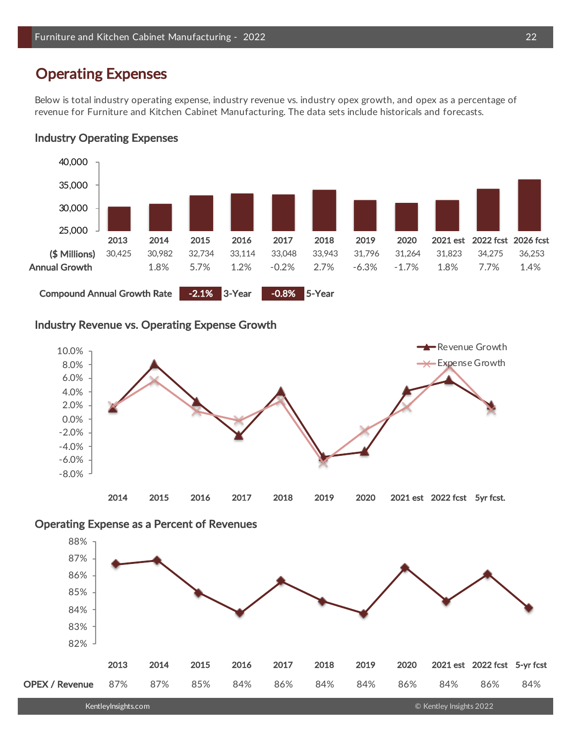# Operating Expenses

Below is total industry operating expense, industry revenue vs. industry opex growth, and opex as a percentage of revenue for Furniture and Kitchen Cabinet Manufacturing. The data sets include historicals and forecasts.

# Industry Operating Expenses



# Industry Revenue vs. Operating Expense Growth



# Operating Expense as a Percent of Revenues

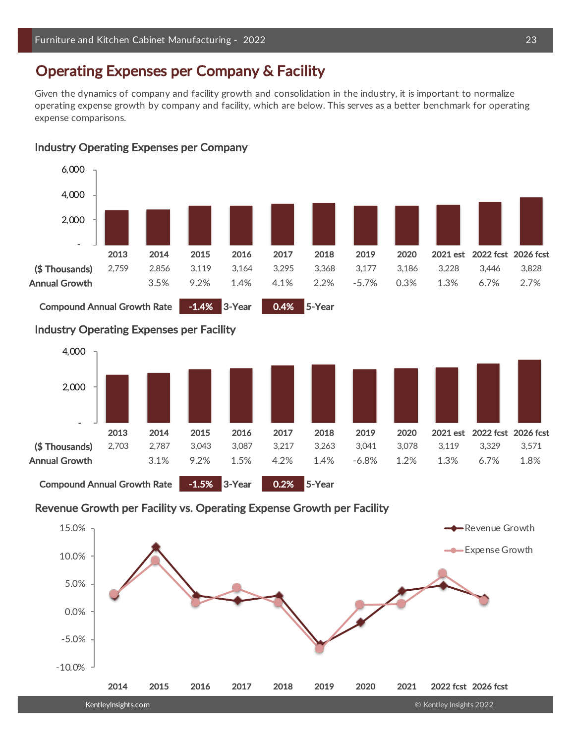# Operating Expenses per Company & Facility

Given the dynamics of company and facility growth and consolidation in the industry, it is important to normalize operating expense growth by company and facility, which are below. This serves as a better benchmark for operating expense comparisons.



### Industry Operating Expenses per Company

Compound Annual Growth Rate -1.5% 3-Year 0.2% 5-Year

# Revenue Growth per Facility vs. Operating Expense Growth per Facility

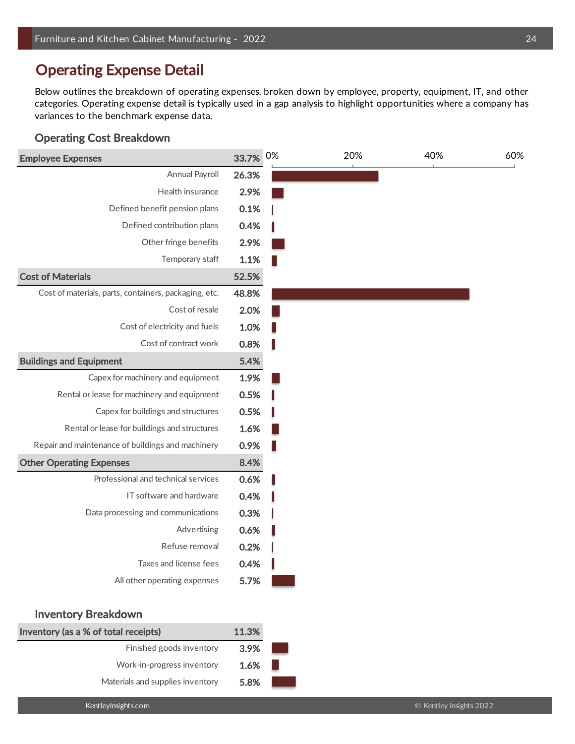# Operating Expense Detail

Below outlines the breakdown of operating expenses, broken down by employee, property, equipment, IT, and other categories. Operating expense detail is typically used in a gap analysis to highlight opportunities where a company has variances to the benchmark expense data.

# Operating Cost Breakdown

| <b>Employee Expenses</b>                              | 33.7%  | 0% | 20% | 40% | 60% |
|-------------------------------------------------------|--------|----|-----|-----|-----|
| Annual Payroll                                        | 26.3%  |    |     |     |     |
| Health insurance                                      | 2.9%   |    |     |     |     |
| Defined benefit pension plans                         | 0.1%   |    |     |     |     |
| Defined contribution plans                            | 0.4%   |    |     |     |     |
| Other fringe benefits                                 | 2.9%   |    |     |     |     |
| Temporary staff                                       | 1.1%   |    |     |     |     |
| <b>Cost of Materials</b>                              | 52.5%  |    |     |     |     |
| Cost of materials, parts, containers, packaging, etc. | 48.8%  |    |     |     |     |
| Cost of resale                                        | 2.0%   |    |     |     |     |
| Cost of electricity and fuels                         | 1.0%   |    |     |     |     |
| Cost of contract work                                 | 0.8%   |    |     |     |     |
| <b>Buildings and Equipment</b>                        | 5.4%   |    |     |     |     |
| Capex for machinery and equipment                     | 1.9%   |    |     |     |     |
| Rental or lease for machinery and equipment           | 0.5%   |    |     |     |     |
| Capex for buildings and structures                    | 0.5%   |    |     |     |     |
| Rental or lease for buildings and structures          | 1.6%   |    |     |     |     |
| Repair and maintenance of buildings and machinery     | 0.9%   |    |     |     |     |
| <b>Other Operating Expenses</b>                       | 8.4%   |    |     |     |     |
| Professional and technical services                   | 0.6%   |    |     |     |     |
| IT software and hardware                              | 0.4%   |    |     |     |     |
| Data processing and communications                    | 0.3%   |    |     |     |     |
| Advertising                                           | 0.6%   |    |     |     |     |
| Refuse removal                                        | 0.2%   |    |     |     |     |
| Taxes and license fees                                | 0.4%   |    |     |     |     |
| All other operating expenses                          | 5.7%   |    |     |     |     |
| <b>Inventory Breakdown</b>                            |        |    |     |     |     |
| المقطوع ويواسط والمقطوع والمتاريخ والمتواري           | 44.001 |    |     |     |     |

| Inventory (as a % of total receipts) | 11.3% |
|--------------------------------------|-------|
| Finished goods inventory             | 3.9%  |
| Work-in-progress inventory           | 1.6%  |
| Materials and supplies inventory     | 5.8%  |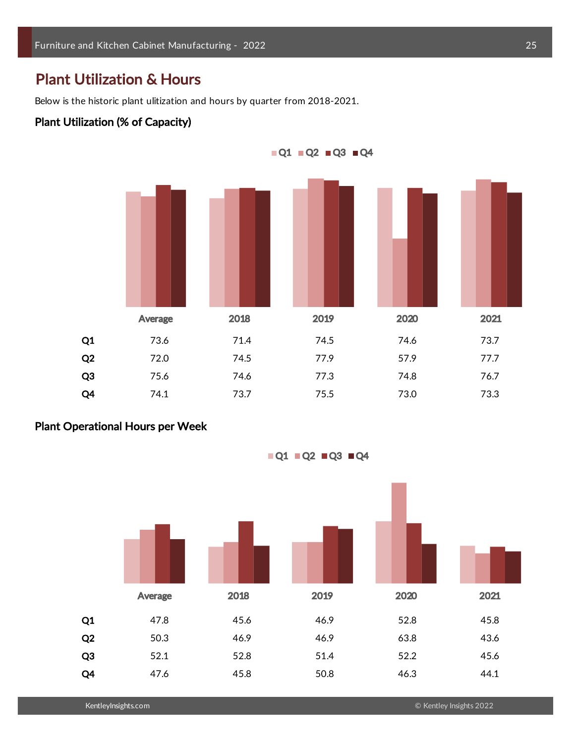# Plant Utilization & Hours

Below is the historic plant ulitization and hours by quarter from 2018-2021.

### Plant Utilization (% of Capacity)



# Plant Operational Hours per Week

 $\blacksquare$ Q1  $\blacksquare$ Q2  $\blacksquare$ Q3  $\blacksquare$ Q4



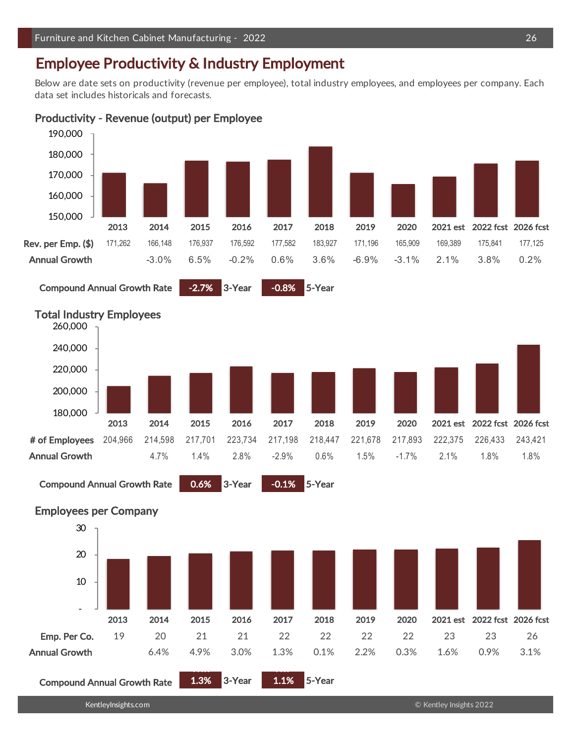# Employee Productivity & Industry Employment

Compound Annual Growth Rate 0.6% 3-Year -0.1% 5-Year

Below are date sets on productivity (revenue per employee), total industry employees, and employees per company. Each data set includes historicals and forecasts.

# Productivity - Revenue (output) per Employee









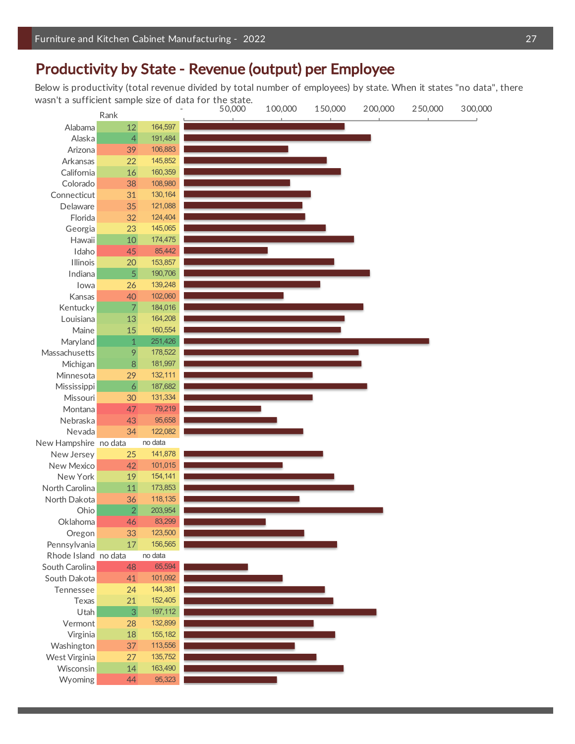# Productivity by State - Revenue (output) per Employee

Below is productivity (total revenue divided by total number of employees) by state. When it states "no data", there

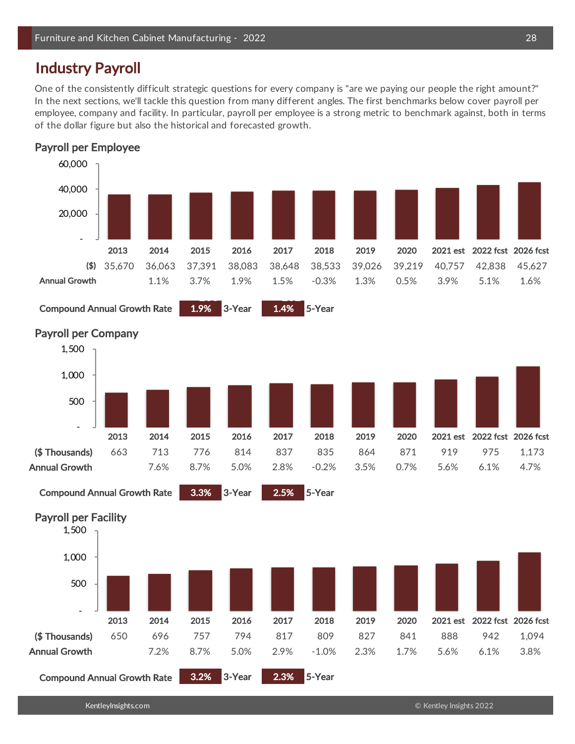# Industry Payroll

One of the consistently difficult strategic questions for every company is "are we paying our people the right amount?" In the next sections, we'll tackle this question from many different angles. The first benchmarks below cover payroll per employee, company and facility. In particular, payroll per employee is a strong metric to benchmark against, both in terms of the dollar figure but also the historical and forecasted growth.



Compound Annual Growth Rate 3.2% 3-Year 2.3% 5-Year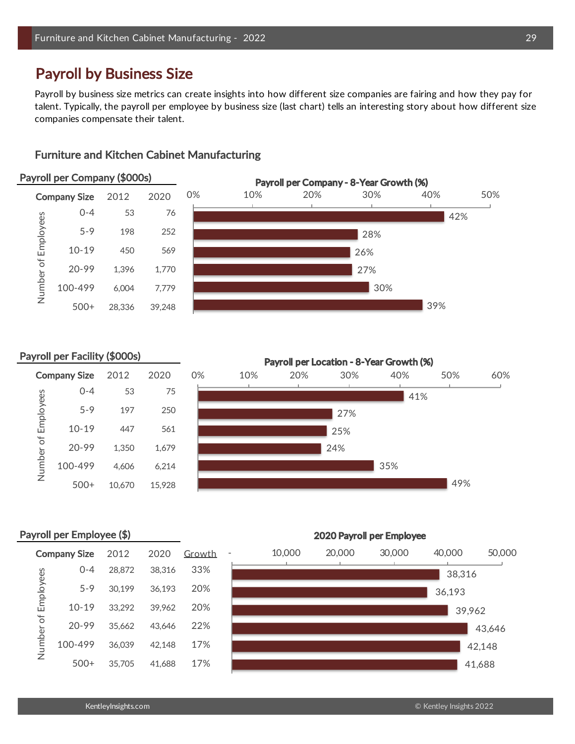# Payroll by Business Size

Payroll by business size metrics can create insights into how different size companies are fairing and how they pay for talent. Typically, the payroll per employee by business size (last chart) tells an interesting story about how different size companies compensate their talent.

# Furniture and Kitchen Cabinet Manufacturing

#### Payroll per Company (\$000s)





#### Payroll per Facility (\$000s)

Number of Employees

Number of Employees



# Payroll per Employee (\$)

|           | <b>Company Size</b> | 2012   | 2020   | Growth | 10,00 |
|-----------|---------------------|--------|--------|--------|-------|
|           | 0-4                 | 28,872 | 38.316 | 33%    |       |
| Employees | $5 - 9$             | 30.199 | 36,193 | 20%    |       |
|           | $10 - 19$           | 33,292 | 39.962 | 20%    |       |
| Number of | $20 - 99$           | 35,662 | 43.646 | 22%    |       |
|           | 100-499             | 36.039 | 42.148 | 17%    |       |
|           | $500+$              | 35,705 | 41.688 | 17%    |       |

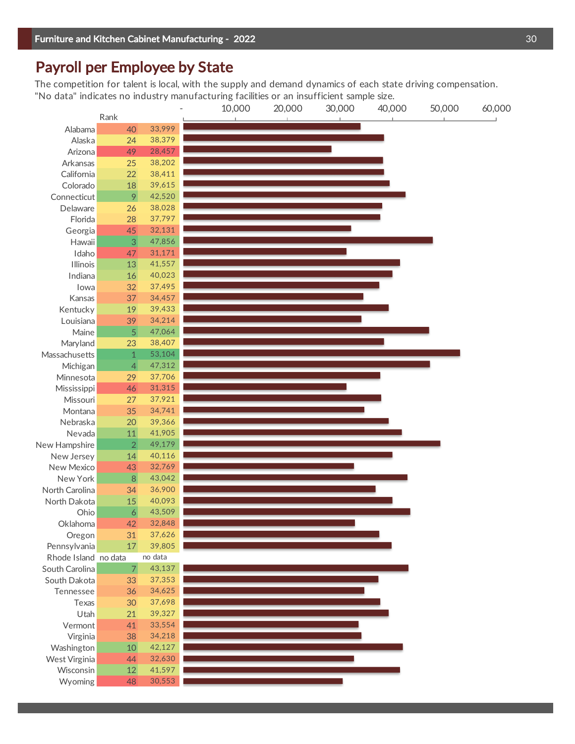# Payroll per Employee by State

The competition for talent is local, with the supply and demand dynamics of each state driving compensation. "No data" indicates no industry manufacturing facilities or an insufficient sample size.

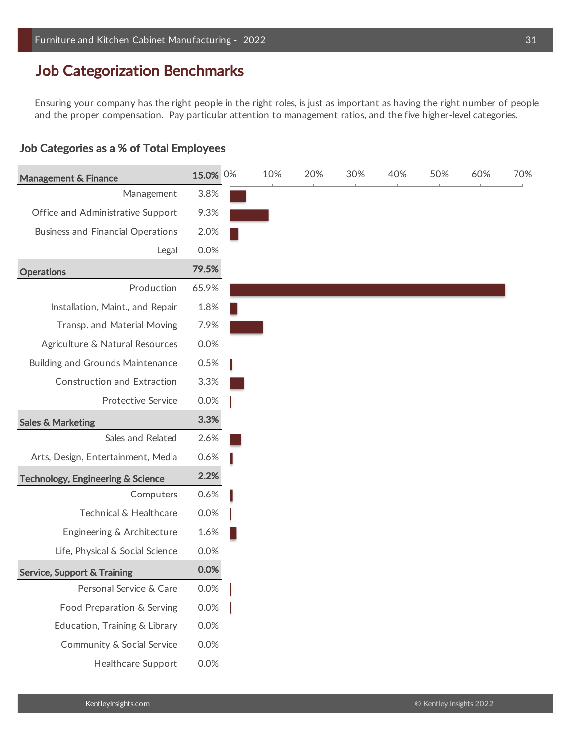# Job Categorization Benchmarks

Ensuring your company has the right people in the right roles, is just as important as having the right number of people and the proper compensation. Pay particular attention to management ratios, and the five higher-level categories.

# Job Categories as a % of Total Employees

| <b>Management &amp; Finance</b>              | 15.0% 0% | 10% | 20% | 30% | 40% | 50% | 60% | 70% |
|----------------------------------------------|----------|-----|-----|-----|-----|-----|-----|-----|
| Management                                   | 3.8%     |     |     |     |     |     |     |     |
| Office and Administrative Support            | 9.3%     |     |     |     |     |     |     |     |
| <b>Business and Financial Operations</b>     | 2.0%     |     |     |     |     |     |     |     |
| Legal                                        | 0.0%     |     |     |     |     |     |     |     |
| <b>Operations</b>                            | 79.5%    |     |     |     |     |     |     |     |
| Production                                   | 65.9%    |     |     |     |     |     |     |     |
| Installation, Maint., and Repair             | 1.8%     |     |     |     |     |     |     |     |
| Transp. and Material Moving                  | 7.9%     |     |     |     |     |     |     |     |
| Agriculture & Natural Resources              | 0.0%     |     |     |     |     |     |     |     |
| <b>Building and Grounds Maintenance</b>      | 0.5%     |     |     |     |     |     |     |     |
| <b>Construction and Extraction</b>           | 3.3%     |     |     |     |     |     |     |     |
| <b>Protective Service</b>                    | 0.0%     |     |     |     |     |     |     |     |
| <b>Sales &amp; Marketing</b>                 | 3.3%     |     |     |     |     |     |     |     |
| Sales and Related                            | 2.6%     |     |     |     |     |     |     |     |
| Arts, Design, Entertainment, Media           | 0.6%     |     |     |     |     |     |     |     |
| <b>Technology, Engineering &amp; Science</b> | 2.2%     |     |     |     |     |     |     |     |
| Computers                                    | 0.6%     |     |     |     |     |     |     |     |
| Technical & Healthcare                       | 0.0%     |     |     |     |     |     |     |     |
| Engineering & Architecture                   | 1.6%     |     |     |     |     |     |     |     |
| Life, Physical & Social Science              | 0.0%     |     |     |     |     |     |     |     |
| <b>Service, Support &amp; Training</b>       | 0.0%     |     |     |     |     |     |     |     |
| Personal Service & Care                      | 0.0%     |     |     |     |     |     |     |     |
| Food Preparation & Serving                   | 0.0%     |     |     |     |     |     |     |     |
| Education, Training & Library                | 0.0%     |     |     |     |     |     |     |     |
| Community & Social Service                   | 0.0%     |     |     |     |     |     |     |     |
| Healthcare Support                           | 0.0%     |     |     |     |     |     |     |     |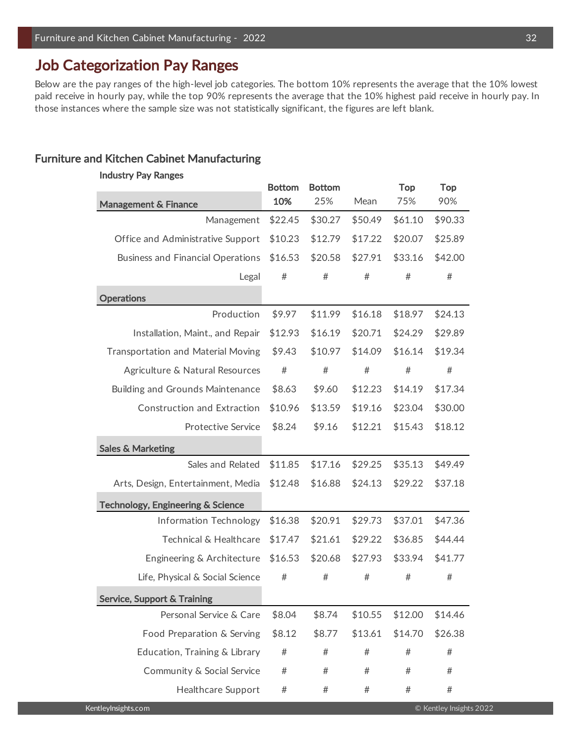# Job Categorization Pay Ranges

Below are the pay ranges of the high-level job categories. The bottom 10% represents the average that the 10% lowest paid receive in hourly pay, while the top 90% represents the average that the 10% highest paid receive in hourly pay. In those instances where the sample size was not statistically significant, the figures are left blank.

# Furniture and Kitchen Cabinet Manufacturing

# Bottom Bottom Top Top **Management & Finance** 10% 25% Mean 75% 90% Management \$22.45 \$30.27 \$50.49 \$61.10 \$90.33 Office and Administrative Support \$10.23 \$12.79 \$17.22 \$20.07 \$25.89 Business and Financial Operations  $$16.53$   $$20.58$   $$27.91$   $$33.16$   $$42.00$ Legal #  $\#$   $\#$   $\#$   $\#$ **Operations** 388 and 388 and 388 and 388 and 388 and 388 and 388 and 388 and 388 and 388 and 388 and 388 and 388 and 388 and 388 and 388 and 388 and 388 and 388 and 388 and 388 and 388 and 388 and 388 and 388 and 388 and 3 Production \$9.97 \$11.99 \$16.18 \$18.97 \$24.13 204 Installation, Maint., and Repair \$12.93 \$16.19 \$20.71 \$24.29 \$29.89 Transportation and Material Moving  $$9.43$   $$10.97$   $$14.09$   $$16.14$   $$19.34$ Agriculture & Natural Resources  $#$   $#$   $#$   $#$   $#$   $#$ Building and Grounds Maintenance  $$8.63$   $$9.60$   $$12.23$   $$14.19$   $$17.34$ Construction and Extraction  $$10.96$   $$13.59$   $$19.16$   $$23.04$   $$30.00$ Protective Service \$8.24 \$9.16 \$12.21 \$15.43 \$18.12 Sales & Marketing Sales and Related \$11.85 \$17.16 \$29.25 \$35.13 \$49.49 Arts, Design, Entertainment, Media \$12.48 \$16.88 \$24.13 \$29.22 \$37.18 Technology, Engineering & Science Information Technology \$16.38 \$20.91 \$29.73 \$37.01 \$47.36 Technical & Healthcare \$17.47 \$21.61 \$29.22 \$36.85 \$44.44 Engineering & Architecture \$16.53 \$20.68 \$27.93 \$33.94 \$41.77 Life, Physical & Social Science  $\#$   $\#$   $\#$   $\#$   $\#$ Service, Support & Training Personal Service & Care \$8.04 \$8.74 \$10.55 \$12.00 \$14.46 Food Preparation & Serving  $$8.12$   $$8.77$   $$13.61$   $$14.70$   $$26.38$ Education, Training & Library  $\#$   $\#$   $\#$   $\#$   $\#$ Community & Social Service  $\#$   $\#$   $\#$   $\#$   $\#$ Healthcare Support  $#$   $#$   $#$   $#$   $#$ Industry Pay Ranges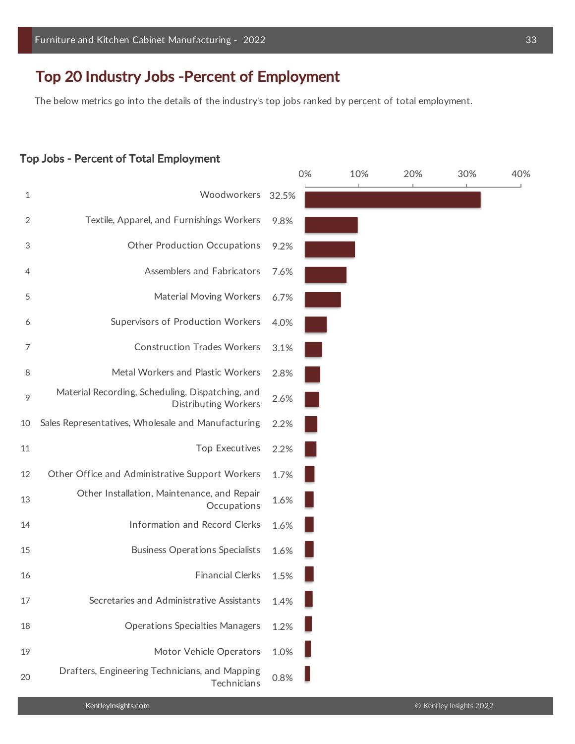# Top 20 Industry Jobs -Percent of Employment

The below metrics go into the details of the industry's top jobs ranked by percent of total employment.

#### Top Jobs - Percent of Total Employment

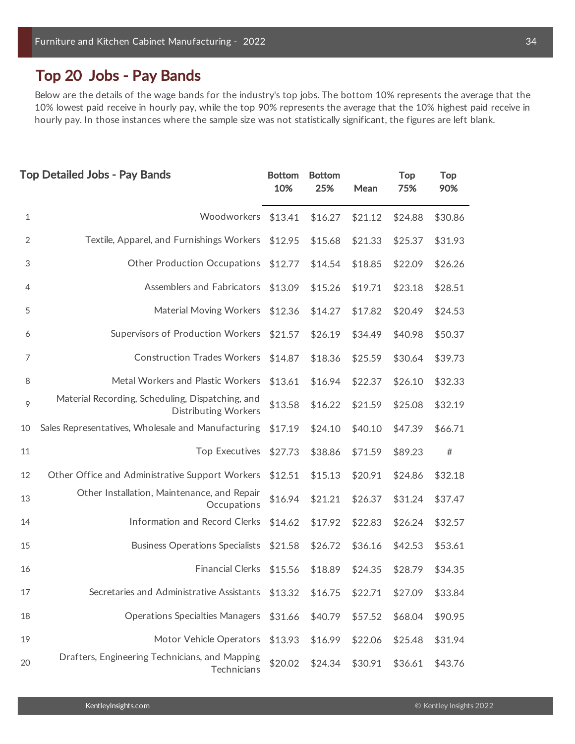# Top 20 Jobs - Pay Bands

Below are the details of the wage bands for the industry's top jobs. The bottom 10% represents the average that the 10% lowest paid receive in hourly pay, while the top 90% represents the average that the 10% highest paid receive in hourly pay. In those instances where the sample size was not statistically significant, the figures are left blank.

|    | <b>Top Detailed Jobs - Pay Bands</b>                                            | <b>Bottom</b><br>10% | <b>Bottom</b><br>25% | Mean    | Top<br>75% | <b>Top</b><br>90% |
|----|---------------------------------------------------------------------------------|----------------------|----------------------|---------|------------|-------------------|
| 1  | Woodworkers                                                                     | \$13.41              | \$16.27              | \$21.12 | \$24.88    | \$30.86           |
| 2  | Textile, Apparel, and Furnishings Workers                                       | \$12.95              | \$15.68              | \$21.33 | \$25.37    | \$31.93           |
| 3  | <b>Other Production Occupations</b>                                             | \$12.77              | \$14.54              | \$18.85 | \$22.09    | \$26.26           |
| 4  | Assemblers and Fabricators                                                      | \$13.09              | \$15.26              | \$19.71 | \$23.18    | \$28.51           |
| 5  | <b>Material Moving Workers</b>                                                  | \$12.36              | \$14.27              | \$17.82 | \$20.49    | \$24.53           |
| 6  | Supervisors of Production Workers                                               | \$21.57              | \$26.19              | \$34.49 | \$40.98    | \$50.37           |
| 7  | <b>Construction Trades Workers</b>                                              | \$14.87              | \$18.36              | \$25.59 | \$30.64    | \$39.73           |
| 8  | Metal Workers and Plastic Workers                                               | \$13.61              | \$16.94              | \$22.37 | \$26.10    | \$32.33           |
| 9  | Material Recording, Scheduling, Dispatching, and<br><b>Distributing Workers</b> | \$13.58              | \$16.22              | \$21.59 | \$25.08    | \$32.19           |
| 10 | Sales Representatives, Wholesale and Manufacturing                              | \$17.19              | \$24.10              | \$40.10 | \$47.39    | \$66.71           |
| 11 | <b>Top Executives</b>                                                           | \$27.73              | \$38.86              | \$71.59 | \$89.23    | $\#$              |
| 12 | Other Office and Administrative Support Workers                                 | \$12.51              | \$15.13              | \$20.91 | \$24.86    | \$32.18           |
| 13 | Other Installation, Maintenance, and Repair<br>Occupations                      | \$16.94              | \$21.21              | \$26.37 | \$31.24    | \$37.47           |
| 14 | Information and Record Clerks                                                   | \$14.62              | \$17.92              | \$22.83 | \$26.24    | \$32.57           |
| 15 | <b>Business Operations Specialists</b>                                          | \$21.58              | \$26.72              | \$36.16 | \$42.53    | \$53.61           |
| 16 | <b>Financial Clerks</b>                                                         | \$15.56              | \$18.89              | \$24.35 | \$28.79    | \$34.35           |
| 17 | Secretaries and Administrative Assistants                                       | \$13.32              | \$16.75              | \$22.71 | \$27.09    | \$33.84           |
| 18 | <b>Operations Specialties Managers</b>                                          | \$31.66              | \$40.79              | \$57.52 | \$68.04    | \$90.95           |
| 19 | Motor Vehicle Operators                                                         | \$13.93              | \$16.99              | \$22.06 | \$25.48    | \$31.94           |
| 20 | Drafters, Engineering Technicians, and Mapping<br>Technicians                   | \$20.02              | \$24.34              | \$30.91 | \$36.61    | \$43.76           |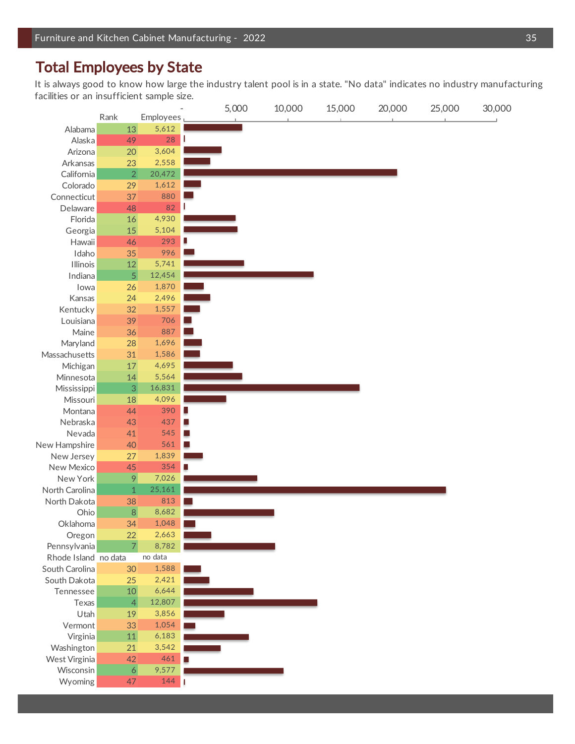# Total Employees by State

It is always good to know how large the industry talent pool is in a state. "No data" indicates no industry manufacturing facilities or an insufficient sample size.

| 5,000<br>20,000<br>10,000<br>15,000      | 25,000 | 30,000 |
|------------------------------------------|--------|--------|
| Rank<br>Employees                        |        |        |
| 5,612<br>13<br>Alabama                   |        |        |
| 28<br>ı<br>Alaska<br>49                  |        |        |
| 3,604<br>Arizona<br>20                   |        |        |
| 2,558<br>Arkansas<br>23                  |        |        |
| $\overline{2}$<br>20,472<br>California   |        |        |
| 1,612<br>Colorado<br>29                  |        |        |
| 880<br>Connecticut<br>37                 |        |        |
| 82<br>ı<br>Delaware<br>48                |        |        |
| 4,930<br>Florida<br>$16\,$               |        |        |
| 5,104<br>15<br>Georgia                   |        |        |
| ٥<br>293<br>Hawaii<br>46                 |        |        |
| 996<br>35<br>Idaho                       |        |        |
| 5,741<br>Illinois<br>12                  |        |        |
| 5<br>12,454<br>Indiana                   |        |        |
| 1,870<br>26<br>lowa                      |        |        |
| 2,496<br>24<br>Kansas                    |        |        |
| 1,557<br>Kentucky<br>32                  |        |        |
| 706<br>39<br>Louisiana                   |        |        |
| 887<br>Maine<br>36                       |        |        |
| 1,696<br>Maryland<br>28                  |        |        |
| 1,586<br>Massachusetts<br>31             |        |        |
| 4,695<br>Michigan<br>$17\,$              |        |        |
| 5,564<br>Minnesota<br>14                 |        |        |
| 16,831<br>3<br>Mississippi               |        |        |
| 4,096<br>Missouri<br>18                  |        |        |
| 390<br>Montana<br>44<br>٠                |        |        |
| 437<br>Nebraska<br>43                    |        |        |
| 545<br>Nevada<br>41                      |        |        |
| 561<br>New Hampshire<br>40               |        |        |
| 1,839<br>New Jersey<br>27                |        |        |
| 354<br>New Mexico<br>45                  |        |        |
| New York<br>7,026<br>9                   |        |        |
| 25,161<br>North Carolina<br>$\mathbf{1}$ |        |        |
| 813<br>North Dakota<br>38                |        |        |
| 8<br>8,682<br>Ohio                       |        |        |
| 1,048<br>Oklahoma<br>34                  |        |        |
| 2,663<br>22<br>Oregon                    |        |        |
| $\overline{7}$<br>8,782<br>Pennsylvania  |        |        |
| no data<br>Rhode Island no data          |        |        |
| 1,588<br>30<br>South Carolina            |        |        |
| South Dakota<br>25<br>2,421              |        |        |
| 6,644<br>10<br>Tennessee                 |        |        |
| 12,807<br>$\overline{4}$<br>Texas        |        |        |
| 3,856<br>Utah<br>19                      |        |        |
| 1,054<br>33<br>Vermont                   |        |        |
| 11<br>6,183<br>Virginia                  |        |        |
| 3,542<br>Washington<br>21                |        |        |
| 461<br>West Virginia<br>42               |        |        |
| $\overline{6}$<br>9,577<br>Wisconsin     |        |        |
| 144<br>Wyoming<br>47<br>П                |        |        |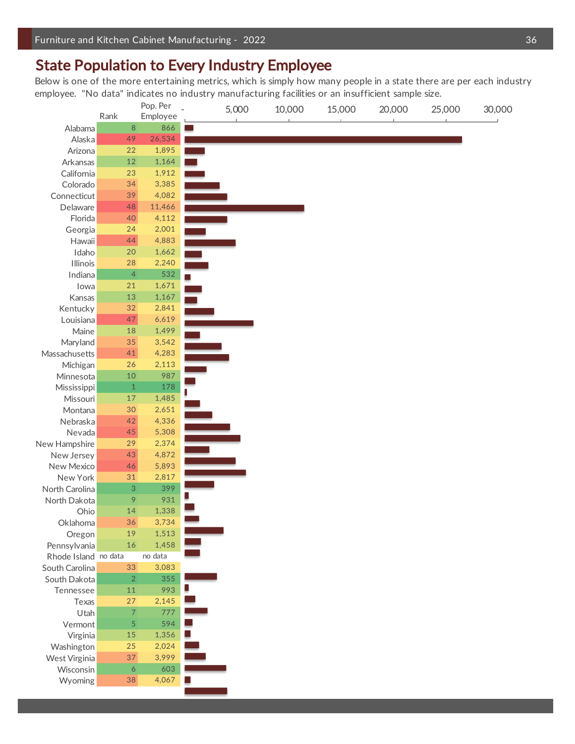# State Population to Every Industry Employee

Below is one of the more entertaining metrics, which is simply how many people in a state there are per each industry employee. "No data" indicates no industry manufacturing facilities or an insufficient sample size.

| Pop. Per             |                |          | 5,000 | 10,000 | 15,000 | 20,000 | 25,000 | 30,000 |
|----------------------|----------------|----------|-------|--------|--------|--------|--------|--------|
|                      | Rank           | Employee |       |        |        |        |        |        |
| Alabama              | 8              | 866      |       |        |        |        |        |        |
| Alaska               | 49             | 26,534   |       |        |        |        |        |        |
| Arizona              | 22             | 1,895    |       |        |        |        |        |        |
| Arkansas             | $12\,$         | 1,164    |       |        |        |        |        |        |
| California           | 23             | 1,912    |       |        |        |        |        |        |
| Colorado             | 34             | 3,385    |       |        |        |        |        |        |
| Connecticut          | 39             | 4,082    |       |        |        |        |        |        |
| Delaware             | 48             | 11,466   |       |        |        |        |        |        |
| Florida              | 40             | 4,112    |       |        |        |        |        |        |
| Georgia              | 24             | 2,001    |       |        |        |        |        |        |
| Hawaii               | 44             | 4,883    |       |        |        |        |        |        |
| Idaho                | $20\,$         | 1,662    |       |        |        |        |        |        |
| <b>Illinois</b>      | 28             | 2,240    |       |        |        |        |        |        |
| Indiana              | $\overline{4}$ | 532      |       |        |        |        |        |        |
| lowa                 | 21             | 1,671    |       |        |        |        |        |        |
| Kansas               | 13             | 1,167    |       |        |        |        |        |        |
| Kentucky             | 32             | 2,841    |       |        |        |        |        |        |
| Louisiana            | 47             | 6,619    |       |        |        |        |        |        |
| Maine                | $18\,$         | 1,499    |       |        |        |        |        |        |
| Maryland             | 35             | 3,542    |       |        |        |        |        |        |
| Massachusetts        | 41             | 4,283    |       |        |        |        |        |        |
| Michigan             | 26             | 2,113    |       |        |        |        |        |        |
|                      | 10             | 987      |       |        |        |        |        |        |
| Minnesota            |                | 178      |       |        |        |        |        |        |
| Mississippi          | $\,1\,$        |          |       |        |        |        |        |        |
| Missouri             | $17\,$         | 1,485    |       |        |        |        |        |        |
| Montana              | $30\,$         | 2,651    |       |        |        |        |        |        |
| Nebraska             | 42             | 4,336    |       |        |        |        |        |        |
| Nevada               | 45             | 5,308    |       |        |        |        |        |        |
| New Hampshire        | 29             | 2,374    |       |        |        |        |        |        |
| New Jersey           | 43             | 4,872    |       |        |        |        |        |        |
| New Mexico           | 46             | 5,893    |       |        |        |        |        |        |
| New York             | 31             | 2,817    |       |        |        |        |        |        |
| North Carolina       | 3              | 399      |       |        |        |        |        |        |
| North Dakota         | 9              | 931      |       |        |        |        |        |        |
| Ohio                 | 14             | 1,338    |       |        |        |        |        |        |
| Oklahoma             | 36             | 3,734    |       |        |        |        |        |        |
| Oregon               | 19             | 1,513    |       |        |        |        |        |        |
| Pennsylvania         | $16\,$         | 1,458    |       |        |        |        |        |        |
| Rhode Island no data |                | no data  |       |        |        |        |        |        |
| South Carolina       | 33             | 3,083    |       |        |        |        |        |        |
| South Dakota         | $\overline{2}$ | 355      |       |        |        |        |        |        |
| Tennessee            | 11             | 993      |       |        |        |        |        |        |
| Texas                | 27             | 2,145    |       |        |        |        |        |        |
| Utah                 | 7              | 777      |       |        |        |        |        |        |
| Vermont              | 5              | 594      |       |        |        |        |        |        |
| Virginia             | 15             | 1,356    |       |        |        |        |        |        |
| Washington           | 25             | 2,024    |       |        |        |        |        |        |
| West Virginia        | 37             | 3,999    |       |        |        |        |        |        |
| Wisconsin            | 6              | 603      |       |        |        |        |        |        |
| Wyoming              | 38             | 4,067    |       |        |        |        |        |        |